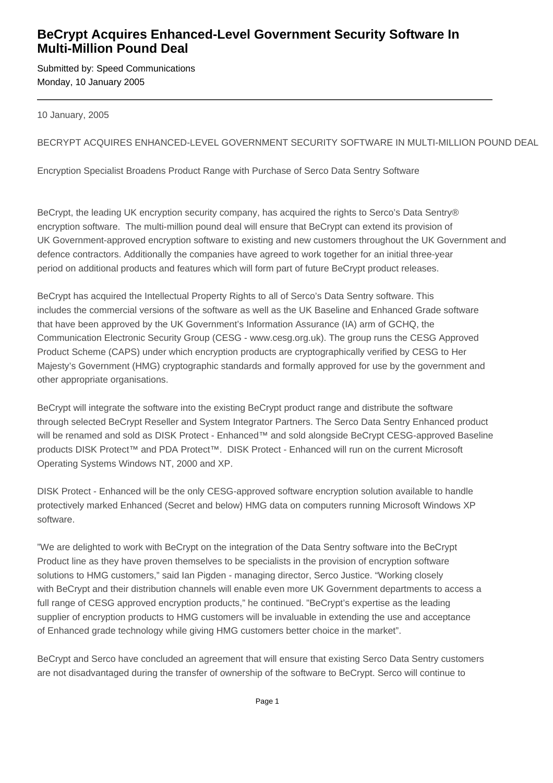## **BeCrypt Acquires Enhanced-Level Government Security Software In Multi-Million Pound Deal**

Submitted by: Speed Communications Monday, 10 January 2005

10 January, 2005

## BECRYPT ACQUIRES ENHANCED-LEVEL GOVERNMENT SECURITY SOFTWARE IN MULTI-MILLION POUND DEAL

Encryption Specialist Broadens Product Range with Purchase of Serco Data Sentry Software

BeCrypt, the leading UK encryption security company, has acquired the rights to Serco's Data Sentry® encryption software. The multi-million pound deal will ensure that BeCrypt can extend its provision of UK Government-approved encryption software to existing and new customers throughout the UK Government and defence contractors. Additionally the companies have agreed to work together for an initial three-year period on additional products and features which will form part of future BeCrypt product releases.

BeCrypt has acquired the Intellectual Property Rights to all of Serco's Data Sentry software. This includes the commercial versions of the software as well as the UK Baseline and Enhanced Grade software that have been approved by the UK Government's Information Assurance (IA) arm of GCHQ, the Communication Electronic Security Group (CESG - www.cesg.org.uk). The group runs the CESG Approved Product Scheme (CAPS) under which encryption products are cryptographically verified by CESG to Her Majesty's Government (HMG) cryptographic standards and formally approved for use by the government and other appropriate organisations.

BeCrypt will integrate the software into the existing BeCrypt product range and distribute the software through selected BeCrypt Reseller and System Integrator Partners. The Serco Data Sentry Enhanced product will be renamed and sold as DISK Protect - Enhanced™ and sold alongside BeCrypt CESG-approved Baseline products DISK Protect™ and PDA Protect™. DISK Protect - Enhanced will run on the current Microsoft Operating Systems Windows NT, 2000 and XP.

DISK Protect - Enhanced will be the only CESG-approved software encryption solution available to handle protectively marked Enhanced (Secret and below) HMG data on computers running Microsoft Windows XP software.

"We are delighted to work with BeCrypt on the integration of the Data Sentry software into the BeCrypt Product line as they have proven themselves to be specialists in the provision of encryption software solutions to HMG customers," said Ian Pigden - managing director, Serco Justice. "Working closely with BeCrypt and their distribution channels will enable even more UK Government departments to access a full range of CESG approved encryption products," he continued. "BeCrypt's expertise as the leading supplier of encryption products to HMG customers will be invaluable in extending the use and acceptance of Enhanced grade technology while giving HMG customers better choice in the market".

BeCrypt and Serco have concluded an agreement that will ensure that existing Serco Data Sentry customers are not disadvantaged during the transfer of ownership of the software to BeCrypt. Serco will continue to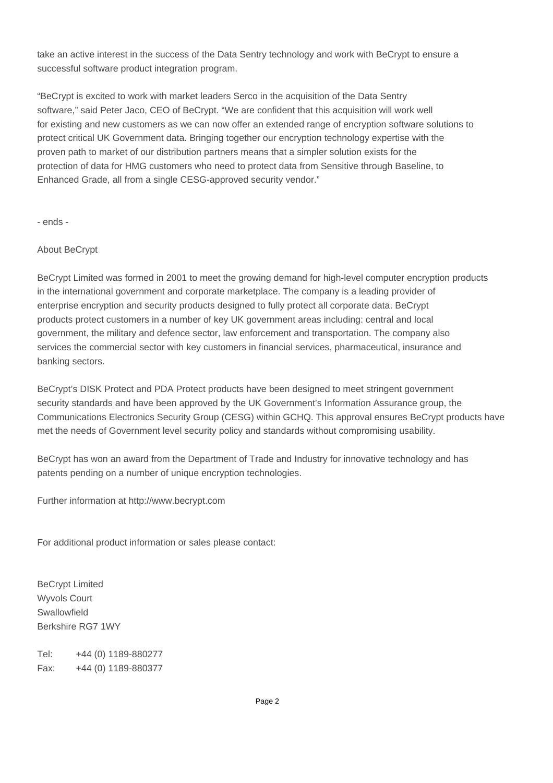take an active interest in the success of the Data Sentry technology and work with BeCrypt to ensure a successful software product integration program.

"BeCrypt is excited to work with market leaders Serco in the acquisition of the Data Sentry software," said Peter Jaco, CEO of BeCrypt. "We are confident that this acquisition will work well for existing and new customers as we can now offer an extended range of encryption software solutions to protect critical UK Government data. Bringing together our encryption technology expertise with the proven path to market of our distribution partners means that a simpler solution exists for the protection of data for HMG customers who need to protect data from Sensitive through Baseline, to Enhanced Grade, all from a single CESG-approved security vendor."

- ends -

## About BeCrypt

BeCrypt Limited was formed in 2001 to meet the growing demand for high-level computer encryption products in the international government and corporate marketplace. The company is a leading provider of enterprise encryption and security products designed to fully protect all corporate data. BeCrypt products protect customers in a number of key UK government areas including: central and local government, the military and defence sector, law enforcement and transportation. The company also services the commercial sector with key customers in financial services, pharmaceutical, insurance and banking sectors.

BeCrypt's DISK Protect and PDA Protect products have been designed to meet stringent government security standards and have been approved by the UK Government's Information Assurance group, the Communications Electronics Security Group (CESG) within GCHQ. This approval ensures BeCrypt products have met the needs of Government level security policy and standards without compromising usability.

BeCrypt has won an award from the Department of Trade and Industry for innovative technology and has patents pending on a number of unique encryption technologies.

Further information at http://www.becrypt.com

For additional product information or sales please contact:

BeCrypt Limited Wyvols Court Swallowfield Berkshire RG7 1WY 

Tel: +44 (0) 1189-880277 Fax: +44 (0) 1189-880377